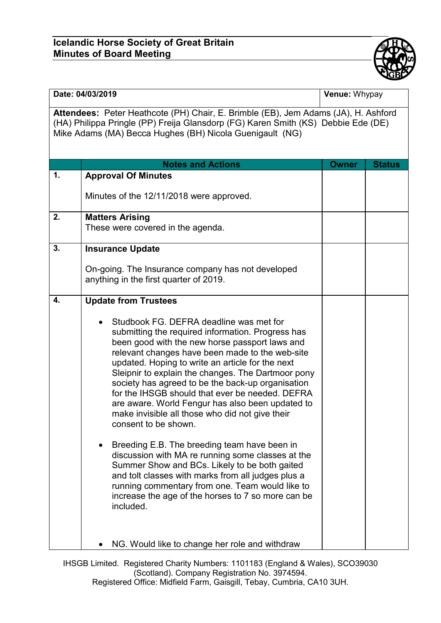## **Icelandic Horse Society of Great Britain Minutes of Board Meeting**



## **Date: 04/03/2019 Venue: Whypay**

**Attendees:** Peter Heathcote (PH) Chair, E. Brimble (EB), Jem Adams (JA), H. Ashford (HA) Philippa Pringle (PP) Freija Glansdorp (FG) Karen Smith (KS) Debbie Ede (DE) Mike Adams (MA) Becca Hughes (BH) Nicola Guenigault (NG)

|    | <b>Notes and Actions</b>                                                                                                                                                                                                                                                                                                                                                                                                                                                                                                                                                                                                                                                                                                                                                                                                                                                             | <b>Owner</b> | <b>Status</b> |
|----|--------------------------------------------------------------------------------------------------------------------------------------------------------------------------------------------------------------------------------------------------------------------------------------------------------------------------------------------------------------------------------------------------------------------------------------------------------------------------------------------------------------------------------------------------------------------------------------------------------------------------------------------------------------------------------------------------------------------------------------------------------------------------------------------------------------------------------------------------------------------------------------|--------------|---------------|
| 1. | <b>Approval Of Minutes</b>                                                                                                                                                                                                                                                                                                                                                                                                                                                                                                                                                                                                                                                                                                                                                                                                                                                           |              |               |
|    | Minutes of the 12/11/2018 were approved.                                                                                                                                                                                                                                                                                                                                                                                                                                                                                                                                                                                                                                                                                                                                                                                                                                             |              |               |
| 2. | <b>Matters Arising</b><br>These were covered in the agenda.                                                                                                                                                                                                                                                                                                                                                                                                                                                                                                                                                                                                                                                                                                                                                                                                                          |              |               |
| 3. | <b>Insurance Update</b>                                                                                                                                                                                                                                                                                                                                                                                                                                                                                                                                                                                                                                                                                                                                                                                                                                                              |              |               |
|    | On-going. The Insurance company has not developed<br>anything in the first quarter of 2019.                                                                                                                                                                                                                                                                                                                                                                                                                                                                                                                                                                                                                                                                                                                                                                                          |              |               |
| 4. | <b>Update from Trustees</b>                                                                                                                                                                                                                                                                                                                                                                                                                                                                                                                                                                                                                                                                                                                                                                                                                                                          |              |               |
|    | Studbook FG. DEFRA deadline was met for<br>submitting the required information. Progress has<br>been good with the new horse passport laws and<br>relevant changes have been made to the web-site<br>updated. Hoping to write an article for the next<br>Sleipnir to explain the changes. The Dartmoor pony<br>society has agreed to be the back-up organisation<br>for the IHSGB should that ever be needed. DEFRA<br>are aware. World Fengur has also been updated to<br>make invisible all those who did not give their<br>consent to be shown.<br>Breeding E.B. The breeding team have been in<br>discussion with MA re running some classes at the<br>Summer Show and BCs. Likely to be both gaited<br>and tolt classes with marks from all judges plus a<br>running commentary from one. Team would like to<br>increase the age of the horses to 7 so more can be<br>included. |              |               |
|    | NG. Would like to change her role and withdraw                                                                                                                                                                                                                                                                                                                                                                                                                                                                                                                                                                                                                                                                                                                                                                                                                                       |              |               |

IHSGB Limited. Registered Charity Numbers: 1101183 (England & Wales), SCO39030 (Scotland). Company Registration No. 3974594. Registered Office: Midfield Farm, Gaisgill, Tebay, Cumbria, CA10 3UH.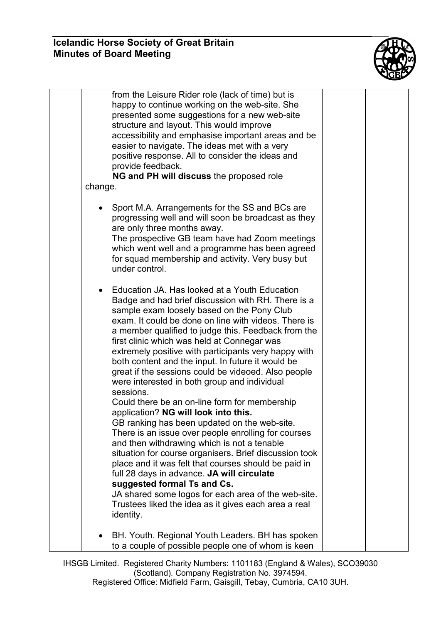

| change. | from the Leisure Rider role (lack of time) but is<br>happy to continue working on the web-site. She<br>presented some suggestions for a new web-site<br>structure and layout. This would improve<br>accessibility and emphasise important areas and be<br>easier to navigate. The ideas met with a very<br>positive response. All to consider the ideas and<br>provide feedback.<br>NG and PH will discuss the proposed role                                                                                                                                                                                                                                                                                                                                                                                                                                                                                                                                                                                                                                                                                               |  |
|---------|----------------------------------------------------------------------------------------------------------------------------------------------------------------------------------------------------------------------------------------------------------------------------------------------------------------------------------------------------------------------------------------------------------------------------------------------------------------------------------------------------------------------------------------------------------------------------------------------------------------------------------------------------------------------------------------------------------------------------------------------------------------------------------------------------------------------------------------------------------------------------------------------------------------------------------------------------------------------------------------------------------------------------------------------------------------------------------------------------------------------------|--|
|         |                                                                                                                                                                                                                                                                                                                                                                                                                                                                                                                                                                                                                                                                                                                                                                                                                                                                                                                                                                                                                                                                                                                            |  |
|         | Sport M.A. Arrangements for the SS and BCs are<br>progressing well and will soon be broadcast as they<br>are only three months away.<br>The prospective GB team have had Zoom meetings<br>which went well and a programme has been agreed<br>for squad membership and activity. Very busy but<br>under control.                                                                                                                                                                                                                                                                                                                                                                                                                                                                                                                                                                                                                                                                                                                                                                                                            |  |
|         | Education JA. Has looked at a Youth Education<br>Badge and had brief discussion with RH. There is a<br>sample exam loosely based on the Pony Club<br>exam. It could be done on line with videos. There is<br>a member qualified to judge this. Feedback from the<br>first clinic which was held at Connegar was<br>extremely positive with participants very happy with<br>both content and the input. In future it would be<br>great if the sessions could be videoed. Also people<br>were interested in both group and individual<br>sessions.<br>Could there be an on-line form for membership<br>application? NG will look into this.<br>GB ranking has been updated on the web-site.<br>There is an issue over people enrolling for courses<br>and then withdrawing which is not a tenable<br>situation for course organisers. Brief discussion took<br>place and it was felt that courses should be paid in<br>full 28 days in advance. JA will circulate<br>suggested formal Ts and Cs.<br>JA shared some logos for each area of the web-site.<br>Trustees liked the idea as it gives each area a real<br>identity. |  |
|         | BH. Youth. Regional Youth Leaders. BH has spoken<br>to a couple of possible people one of whom is keen                                                                                                                                                                                                                                                                                                                                                                                                                                                                                                                                                                                                                                                                                                                                                                                                                                                                                                                                                                                                                     |  |

IHSGB Limited. Registered Charity Numbers: 1101183 (England & Wales), SCO39030 (Scotland). Company Registration No. 3974594. Registered Office: Midfield Farm, Gaisgill, Tebay, Cumbria, CA10 3UH.